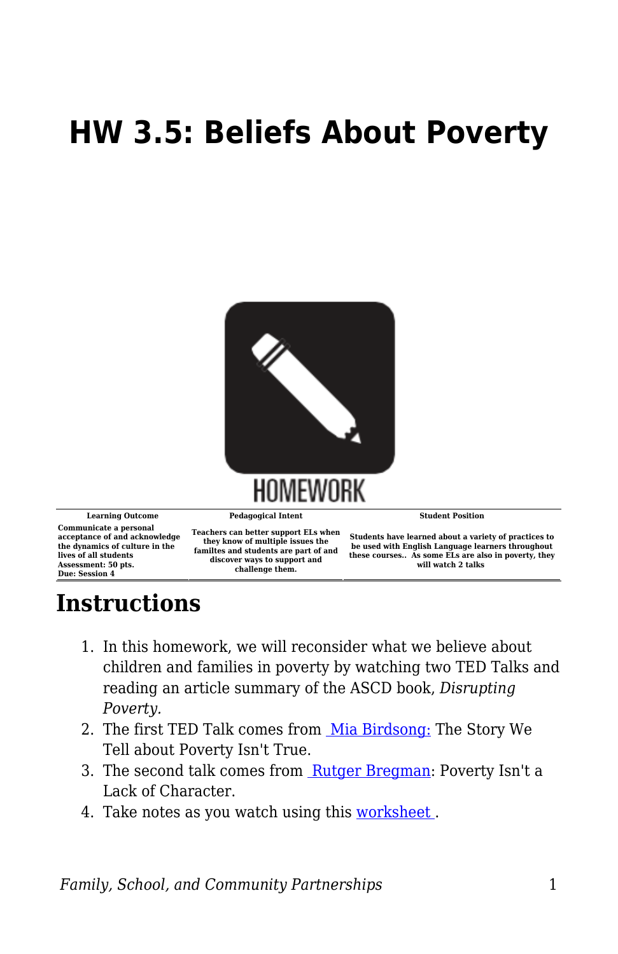## **HW 3.5: Beliefs About Poverty**



**Communicate a personal acceptance of and acknowledge the dynamics of culture in the lives of all students Assessment: 50 pts. Due: Session 4**

**Teachers can better support ELs when they know of multiple issues the familtes and students are part of and discover ways to support and challenge them.**

**Students have learned about a variety of practices to be used with English Language learners throughout these courses.. As some ELs are also in poverty, they will watch 2 talks** 

## **Instructions**

- 1. In this homework, we will reconsider what we believe about children and families in poverty by watching two TED Talks and reading an article summary of the ASCD book, *Disrupting Poverty.*
- 2. The first TED Talk comes from [Mia Birdsong:](https://www.ted.com/talks/mia_birdsong_the_story_we_tell_about_poverty_isn_t_true?language=en) The Story We Tell about Poverty Isn't True.
- 3. The second talk comes from [Rutger Bregman](https://www.ted.com/talks/rutger_bregman_poverty_isn_t_a_lack_of_character_it_s_a_lack_of_cash?language=en): Poverty Isn't a Lack of Character.
- 4. Take notes as you watch using this [worksheet .](https://byu.box.com/s/76q8gqu4cgirm21vel8jds0tzzethf7d)